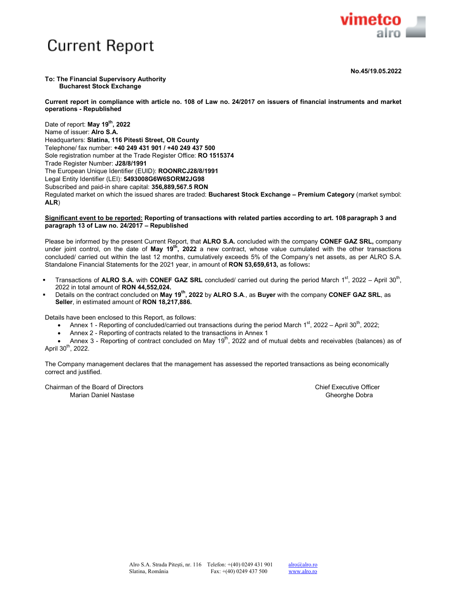

#### **No.45/19.05.2022**

#### **To: The Financial Supervisory Authority Bucharest Stock Exchange**

**Current report in compliance with article no. 108 of Law no. 24/2017 on issuers of financial instruments and market operations - Republished** 

Date of report: **May 19th, 2022**  Name of issuer: **Alro S.A.** Headquarters: **Slatina, 116 Pitesti Street, Olt County** Telephone/ fax number: **+40 249 431 901 / +40 249 437 500** Sole registration number at the Trade Register Office: **RO 1515374** Trade Register Number: **J28/8/1991** The European Unique Identifier (EUID): **ROONRCJ28/8/1991**  Legal Entity Identifier (LEI): **5493008G6W6SORM2JG98** Subscribed and paid-in share capital: **356,889,567.5 RON** Regulated market on which the issued shares are traded: **Bucharest Stock Exchange – Premium Category** (market symbol: **ALR**)

#### **Significant event to be reported: Reporting of transactions with related parties according to art. 108 paragraph 3 and paragraph 13 of Law no. 24/2017 – Republished**

Please be informed by the present Current Report, that **ALRO S.A.** concluded with the company **CONEF GAZ SRL,** company under joint control, on the date of **May 19th, 2022** a new contract, whose value cumulated with the other transactions concluded/ carried out within the last 12 months, cumulatively exceeds 5% of the Company's net assets, as per ALRO S.A. Standalone Financial Statements for the 2021 year, in amount of **RON 53,659,613,** as follows**:** 

- **Transactions of ALRO S.A. with CONEF GAZ SRL concluded/ carried out during the period March 1<sup>st</sup>, 2022 April 30<sup>th</sup>,** 2022 in total amount of **RON 44,552,024.**
- Details on the contract concluded on **May 19th, 2022** by **ALRO S.A**., as **Buyer** with the company **CONEF GAZ SRL**, as **Seller**, in estimated amount of **RON 18,217,886.**

Details have been enclosed to this Report, as follows:

- Annex 1 Reporting of concluded/carried out transactions during the period March  $1<sup>st</sup>$ , 2022 April 30<sup>th</sup>, 2022;
- Annex 2 Reporting of contracts related to the transactions in Annex 1

• Annex 3 - Reporting of contract concluded on May 19<sup>th</sup>, 2022 and of mutual debts and receivables (balances) as of April 30<sup>th</sup>, 2022.

The Company management declares that the management has assessed the reported transactions as being economically correct and justified.

Chairman of the Board of Directors Chief Executive Officer Marian Daniel Nastase Gheorghe Dobra (Gheorghe Dobra Gheorghe Dobra Gheorghe Dobra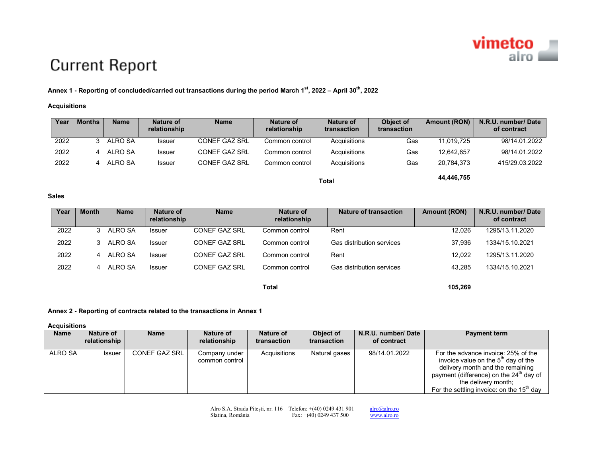

## **Current Report**

### **Annex 1 - Reporting of concluded/carried out transactions during the period March 1st, 2022 – April 30th, <sup>2022</sup>**

#### **Acquisitions**

| Year | <b>Months</b> | <b>Name</b> | Nature of<br>relationship | <b>Name</b>          | Nature of<br>relationship | Nature of<br>transaction | Object of<br>transaction | Amount (RON) | N.R.U. number/Date<br>of contract |
|------|---------------|-------------|---------------------------|----------------------|---------------------------|--------------------------|--------------------------|--------------|-----------------------------------|
| 2022 | 3             | ALRO SA     | <b>Issuer</b>             | <b>CONEF GAZ SRL</b> | Common control            | Acquisitions             | Gas                      | 11.019.725   | 98/14.01.2022                     |
| 2022 |               | ALRO SA     | <b>Issuer</b>             | <b>CONEF GAZ SRL</b> | Common control            | Acquisitions             | Gas                      | 12.642.657   | 98/14.01.2022                     |
| 2022 |               | ALRO SA     | <b>Issuer</b>             | <b>CONEF GAZ SRL</b> | Common control            | Acquisitions             | Gas                      | 20.784.373   | 415/29.03.2022                    |
|      |               | 44,446,755  |                           |                      |                           |                          |                          |              |                                   |

#### **Sales**

| Year | <b>Month</b> | <b>Name</b> | Nature of<br>relationship | <b>Name</b>          | Nature of<br>relationship | Nature of transaction     | Amount (RON) | N.R.U. number/ Date<br>of contract |
|------|--------------|-------------|---------------------------|----------------------|---------------------------|---------------------------|--------------|------------------------------------|
| 2022 |              | ALRO SA     | <b>Issuer</b>             | <b>CONEF GAZ SRL</b> | Common control            | Rent                      | 12.026       | 1295/13.11.2020                    |
| 2022 |              | ALRO SA     | <b>Issuer</b>             | <b>CONEF GAZ SRL</b> | Common control            | Gas distribution services | 37.936       | 1334/15.10.2021                    |
| 2022 | 4            | ALRO SA     | <b>Issuer</b>             | <b>CONEF GAZ SRL</b> | Common control            | Rent                      | 12.022       | 1295/13.11.2020                    |
| 2022 | 4            | ALRO SA     | <b>Issuer</b>             | <b>CONEF GAZ SRL</b> | Common control            | Gas distribution services | 43.285       | 1334/15.10.2021                    |
|      |              |             |                           |                      | <b>Total</b>              |                           | 105,269      |                                    |

#### **Annex 2 - Reporting of contracts related to the transactions in Annex 1**

**Acquisitions** 

| <b>Name</b> | Nature of<br>relationship | <b>Name</b>          | Nature of<br>relationship       | Nature of<br>transaction | Object of<br>transaction | N.R.U. number/ Date<br>of contract | <b>Payment term</b>                                                                                                                                                                                                                                   |
|-------------|---------------------------|----------------------|---------------------------------|--------------------------|--------------------------|------------------------------------|-------------------------------------------------------------------------------------------------------------------------------------------------------------------------------------------------------------------------------------------------------|
| ALRO SA     | Issuer                    | <b>CONEF GAZ SRL</b> | Company under<br>common control | Acquisitions             | Natural gases            | 98/14.01.2022                      | For the advance invoice: 25% of the<br>invoice value on the $5m$ day of the<br>delivery month and the remaining<br>payment (difference) on the 24 <sup>th</sup> day of<br>the delivery month;<br>For the settling invoice: on the $15^{\text{m}}$ day |